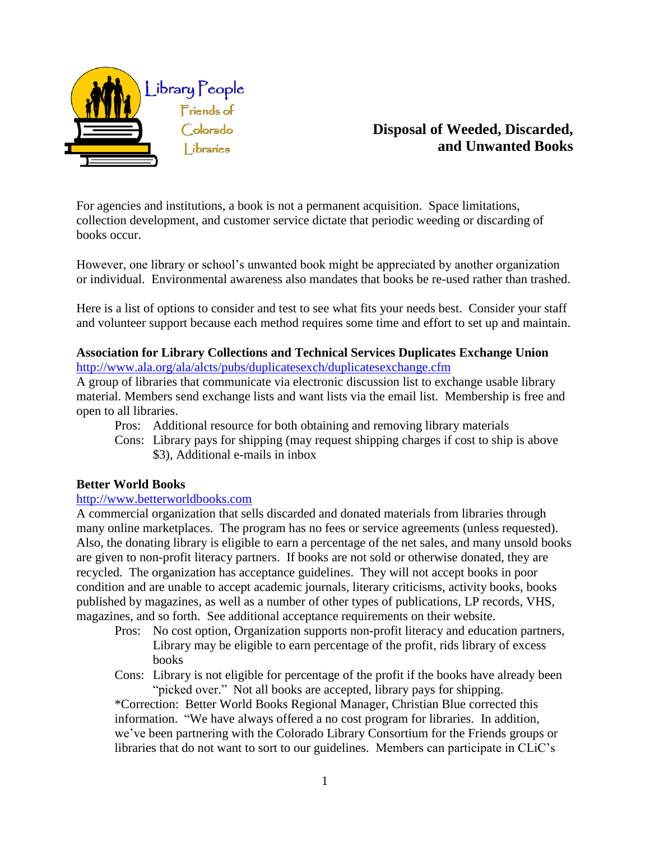

## **Disposal of Weeded, Discarded, and Unwanted Books**

For agencies and institutions, a book is not a permanent acquisition. Space limitations, collection development, and customer service dictate that periodic weeding or discarding of books occur.

However, one library or school's unwanted book might be appreciated by another organization or individual. Environmental awareness also mandates that books be re-used rather than trashed.

Here is a list of options to consider and test to see what fits your needs best. Consider your staff and volunteer support because each method requires some time and effort to set up and maintain.

### **Association for Library Collections and Technical Services Duplicates Exchange Union** <http://www.ala.org/ala/alcts/pubs/duplicatesexch/duplicatesexchange.cfm>

A group of libraries that communicate via electronic discussion list to exchange usable library material. Members send exchange lists and want lists via the email list. Membership is free and open to all libraries.

- Pros: Additional resource for both obtaining and removing library materials
- Cons: Library pays for shipping (may request shipping charges if cost to ship is above \$3), Additional e-mails in inbox

## **Better World Books**

## [http://www.betterworldbooks.com](http://www.betterworldbooks.com/)

A commercial organization that sells discarded and donated materials from libraries through many online marketplaces. The program has no fees or service agreements (unless requested). Also, the donating library is eligible to earn a percentage of the net sales, and many unsold books are given to non-profit literacy partners. If books are not sold or otherwise donated, they are recycled. The organization has acceptance guidelines. They will not accept books in poor condition and are unable to accept academic journals, literary criticisms, activity books, books published by magazines, as well as a number of other types of publications, LP records, VHS, magazines, and so forth. See additional acceptance requirements on their website.

- Pros: No cost option, Organization supports non-profit literacy and education partners, Library may be eligible to earn percentage of the profit, rids library of excess books
- Cons: Library is not eligible for percentage of the profit if the books have already been "picked over." Not all books are accepted, library pays for shipping.

\*Correction: Better World Books Regional Manager, Christian Blue corrected this information. "We have always offered a no cost program for libraries. In addition, we've been partnering with the Colorado Library Consortium for the Friends groups or libraries that do not want to sort to our guidelines. Members can participate in CLiC's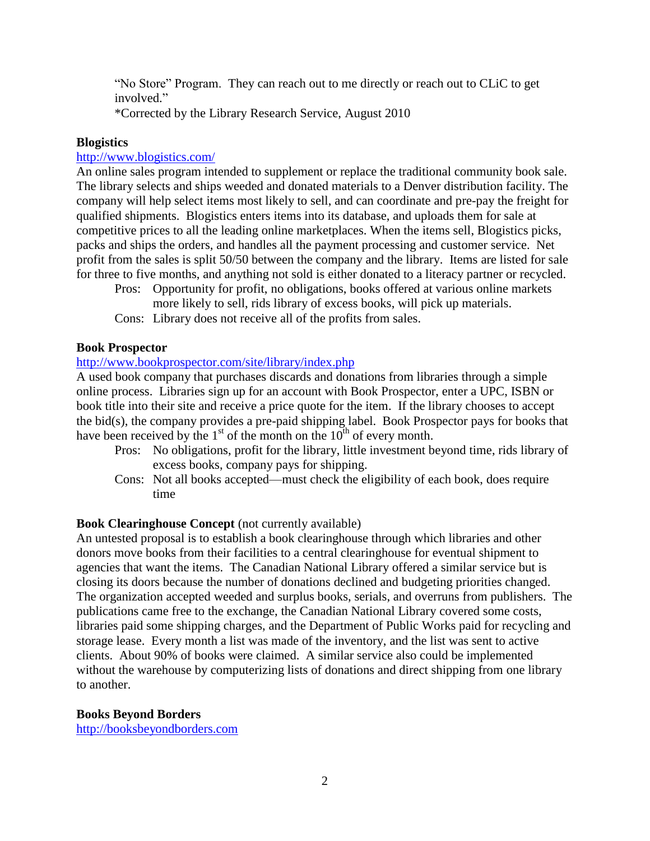"No Store" Program. They can reach out to me directly or reach out to CLiC to get involved."

\*Corrected by the Library Research Service, August 2010

### **Blogistics**

## <http://www.blogistics.com/>

An online sales program intended to supplement or replace the traditional community book sale. The library selects and ships weeded and donated materials to a Denver distribution facility. The company will help select items most likely to sell, and can coordinate and pre-pay the freight for qualified shipments. Blogistics enters items into its database, and uploads them for sale at competitive prices to all the leading online marketplaces. When the items sell, Blogistics picks, packs and ships the orders, and handles all the payment processing and customer service. Net profit from the sales is split 50/50 between the company and the library. Items are listed for sale for three to five months, and anything not sold is either donated to a literacy partner or recycled.

- Pros: Opportunity for profit, no obligations, books offered at various online markets more likely to sell, rids library of excess books, will pick up materials.
- Cons: Library does not receive all of the profits from sales.

## **Book Prospector**

## <http://www.bookprospector.com/site/library/index.php>

A used book company that purchases discards and donations from libraries through a simple online process. Libraries sign up for an account with Book Prospector, enter a UPC, ISBN or book title into their site and receive a price quote for the item. If the library chooses to accept the bid(s), the company provides a pre-paid shipping label. Book Prospector pays for books that have been received by the  $1<sup>st</sup>$  of the month on the  $10<sup>th</sup>$  of every month.

- Pros: No obligations, profit for the library, little investment beyond time, rids library of excess books, company pays for shipping.
- Cons: Not all books accepted—must check the eligibility of each book, does require time

## **Book Clearinghouse Concept** (not currently available)

An untested proposal is to establish a book clearinghouse through which libraries and other donors move books from their facilities to a central clearinghouse for eventual shipment to agencies that want the items. The Canadian National Library offered a similar service but is closing its doors because the number of donations declined and budgeting priorities changed. The organization accepted weeded and surplus books, serials, and overruns from publishers. The publications came free to the exchange, the Canadian National Library covered some costs, libraries paid some shipping charges, and the Department of Public Works paid for recycling and storage lease. Every month a list was made of the inventory, and the list was sent to active clients. About 90% of books were claimed. A similar service also could be implemented without the warehouse by computerizing lists of donations and direct shipping from one library to another.

#### **Books Beyond Borders**

[http://booksbeyondborders.com](http://booksbeyondborders.com/)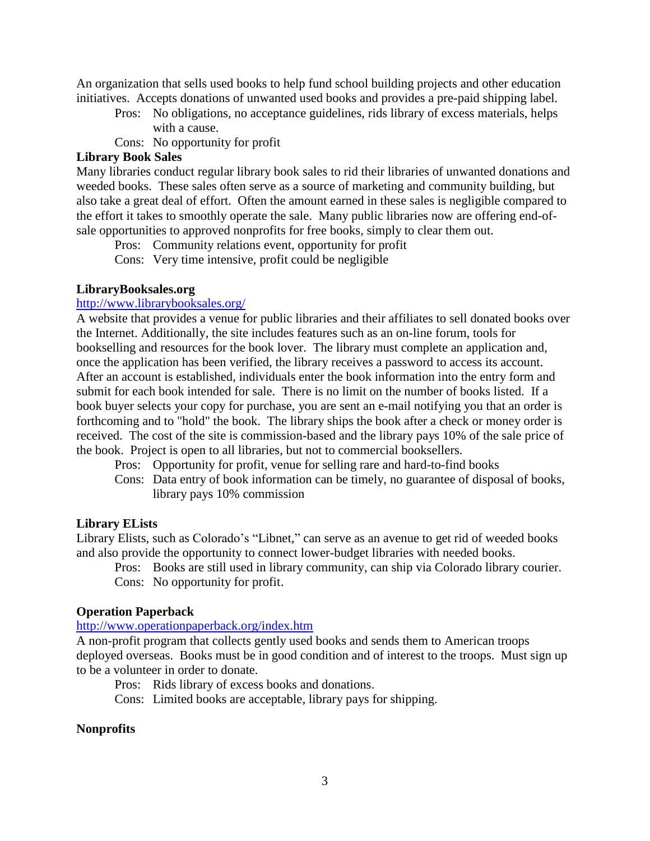An organization that sells used books to help fund school building projects and other education initiatives. Accepts donations of unwanted used books and provides a pre-paid shipping label.

- Pros: No obligations, no acceptance guidelines, rids library of excess materials, helps with a cause.
- Cons: No opportunity for profit

### **Library Book Sales**

Many libraries conduct regular library book sales to rid their libraries of unwanted donations and weeded books. These sales often serve as a source of marketing and community building, but also take a great deal of effort. Often the amount earned in these sales is negligible compared to the effort it takes to smoothly operate the sale. Many public libraries now are offering end-ofsale opportunities to approved nonprofits for free books, simply to clear them out.

Pros: Community relations event, opportunity for profit

Cons: Very time intensive, profit could be negligible

## **LibraryBooksales.org**

## <http://www.librarybooksales.org/>

A website that provides a venue for public libraries and their affiliates to sell donated books over the Internet. Additionally, the site includes features such as an on-line forum, tools for bookselling and resources for the book lover. The library must complete an application and, once the application has been verified, the library receives a password to access its account. After an account is established, individuals enter the book information into the entry form and submit for each book intended for sale. There is no limit on the number of books listed. If a book buyer selects your copy for purchase, you are sent an e-mail notifying you that an order is forthcoming and to "hold" the book. The library ships the book after a check or money order is received. The cost of the site is commission-based and the library pays 10% of the sale price of the book. Project is open to all libraries, but not to commercial booksellers.

Pros: Opportunity for profit, venue for selling rare and hard-to-find books

Cons: Data entry of book information can be timely, no guarantee of disposal of books, library pays 10% commission

#### **Library ELists**

Library Elists, such as Colorado's "Libnet," can serve as an avenue to get rid of weeded books and also provide the opportunity to connect lower-budget libraries with needed books.

Pros: Books are still used in library community, can ship via Colorado library courier. Cons: No opportunity for profit.

#### **Operation Paperback**

<http://www.operationpaperback.org/index.htm>

A non-profit program that collects gently used books and sends them to American troops deployed overseas. Books must be in good condition and of interest to the troops. Must sign up to be a volunteer in order to donate.

Pros: Rids library of excess books and donations.

Cons: Limited books are acceptable, library pays for shipping.

## **Nonprofits**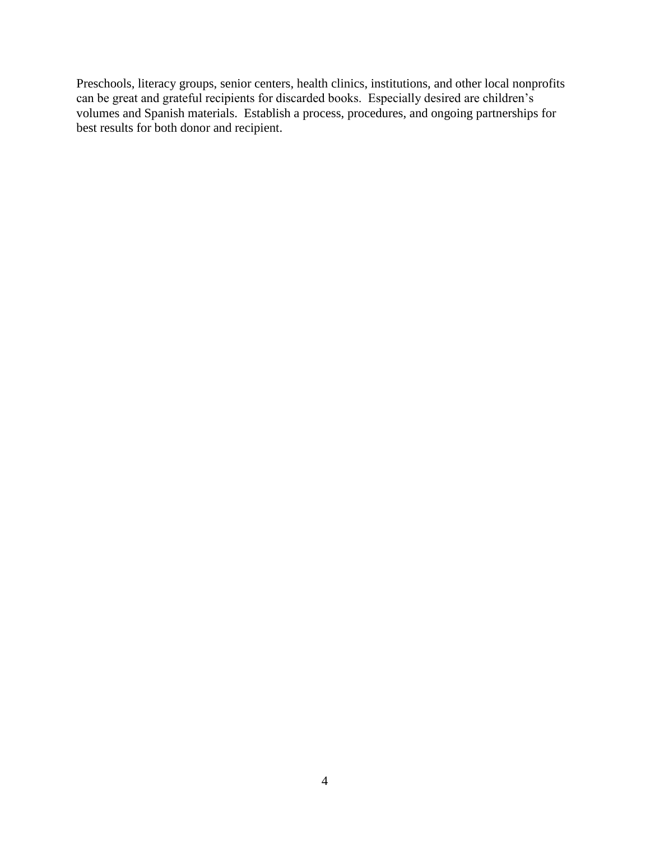Preschools, literacy groups, senior centers, health clinics, institutions, and other local nonprofits can be great and grateful recipients for discarded books. Especially desired are children's volumes and Spanish materials. Establish a process, procedures, and ongoing partnerships for best results for both donor and recipient.